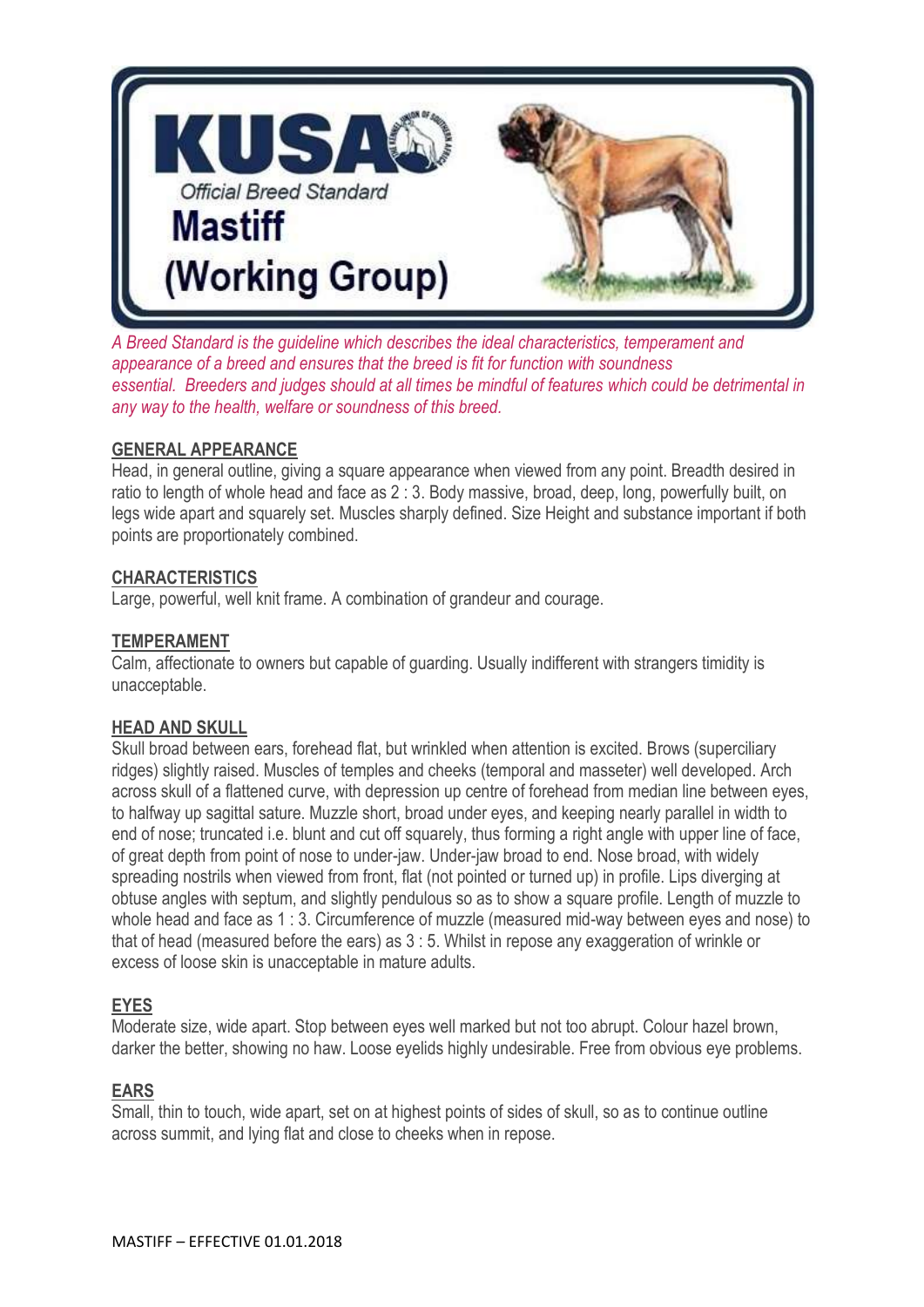

*A Breed Standard is the guideline which describes the ideal characteristics, temperament and appearance of a breed and ensures that the breed is fit for function with soundness essential. Breeders and judges should at all times be mindful of features which could be detrimental in any way to the health, welfare or soundness of this breed.*

# **GENERAL APPEARANCE**

Head, in general outline, giving a square appearance when viewed from any point. Breadth desired in ratio to length of whole head and face as 2 : 3. Body massive, broad, deep, long, powerfully built, on legs wide apart and squarely set. Muscles sharply defined. Size Height and substance important if both points are proportionately combined.

# **CHARACTERISTICS**

Large, powerful, well knit frame. A combination of grandeur and courage.

# **TEMPERAMENT**

Calm, affectionate to owners but capable of guarding. Usually indifferent with strangers timidity is unacceptable.

# **HEAD AND SKULL**

Skull broad between ears, forehead flat, but wrinkled when attention is excited. Brows (superciliary ridges) slightly raised. Muscles of temples and cheeks (temporal and masseter) well developed. Arch across skull of a flattened curve, with depression up centre of forehead from median line between eyes, to halfway up sagittal sature. Muzzle short, broad under eyes, and keeping nearly parallel in width to end of nose; truncated i.e. blunt and cut off squarely, thus forming a right angle with upper line of face, of great depth from point of nose to under-jaw. Under-jaw broad to end. Nose broad, with widely spreading nostrils when viewed from front, flat (not pointed or turned up) in profile. Lips diverging at obtuse angles with septum, and slightly pendulous so as to show a square profile. Length of muzzle to whole head and face as 1 : 3. Circumference of muzzle (measured mid-way between eyes and nose) to that of head (measured before the ears) as 3 : 5. Whilst in repose any exaggeration of wrinkle or excess of loose skin is unacceptable in mature adults.

# **EYES**

Moderate size, wide apart. Stop between eyes well marked but not too abrupt. Colour hazel brown, darker the better, showing no haw. Loose eyelids highly undesirable. Free from obvious eye problems.

# **EARS**

Small, thin to touch, wide apart, set on at highest points of sides of skull, so as to continue outline across summit, and lying flat and close to cheeks when in repose.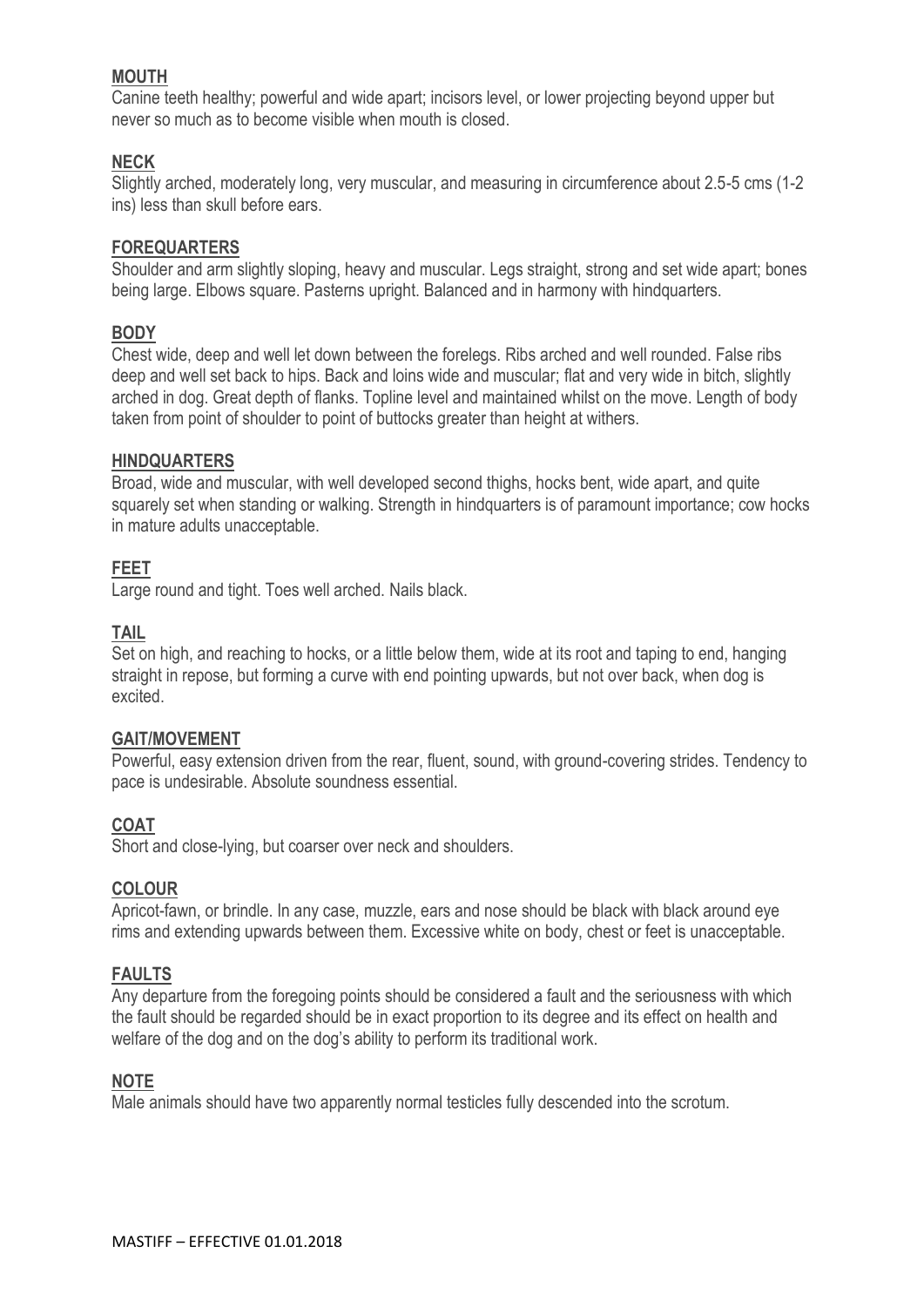# **MOUTH**

Canine teeth healthy; powerful and wide apart; incisors level, or lower projecting beyond upper but never so much as to become visible when mouth is closed.

# **NECK**

Slightly arched, moderately long, very muscular, and measuring in circumference about 2.5-5 cms (1-2 ins) less than skull before ears.

### **FOREQUARTERS**

Shoulder and arm slightly sloping, heavy and muscular. Legs straight, strong and set wide apart; bones being large. Elbows square. Pasterns upright. Balanced and in harmony with hindquarters.

# **BODY**

Chest wide, deep and well let down between the forelegs. Ribs arched and well rounded. False ribs deep and well set back to hips. Back and loins wide and muscular; flat and very wide in bitch, slightly arched in dog. Great depth of flanks. Topline level and maintained whilst on the move. Length of body taken from point of shoulder to point of buttocks greater than height at withers.

#### **HINDQUARTERS**

Broad, wide and muscular, with well developed second thighs, hocks bent, wide apart, and quite squarely set when standing or walking. Strength in hindquarters is of paramount importance; cow hocks in mature adults unacceptable.

#### **FEET**

Large round and tight. Toes well arched. Nails black.

#### **TAIL**

Set on high, and reaching to hocks, or a little below them, wide at its root and taping to end, hanging straight in repose, but forming a curve with end pointing upwards, but not over back, when dog is excited.

#### **GAIT/MOVEMENT**

Powerful, easy extension driven from the rear, fluent, sound, with ground-covering strides. Tendency to pace is undesirable. Absolute soundness essential.

# **COAT**

Short and close-lying, but coarser over neck and shoulders.

#### **COLOUR**

Apricot-fawn, or brindle. In any case, muzzle, ears and nose should be black with black around eye rims and extending upwards between them. Excessive white on body, chest or feet is unacceptable.

# **FAULTS**

Any departure from the foregoing points should be considered a fault and the seriousness with which the fault should be regarded should be in exact proportion to its degree and its effect on health and welfare of the dog and on the dog's ability to perform its traditional work.

#### **NOTE**

Male animals should have two apparently normal testicles fully descended into the scrotum.